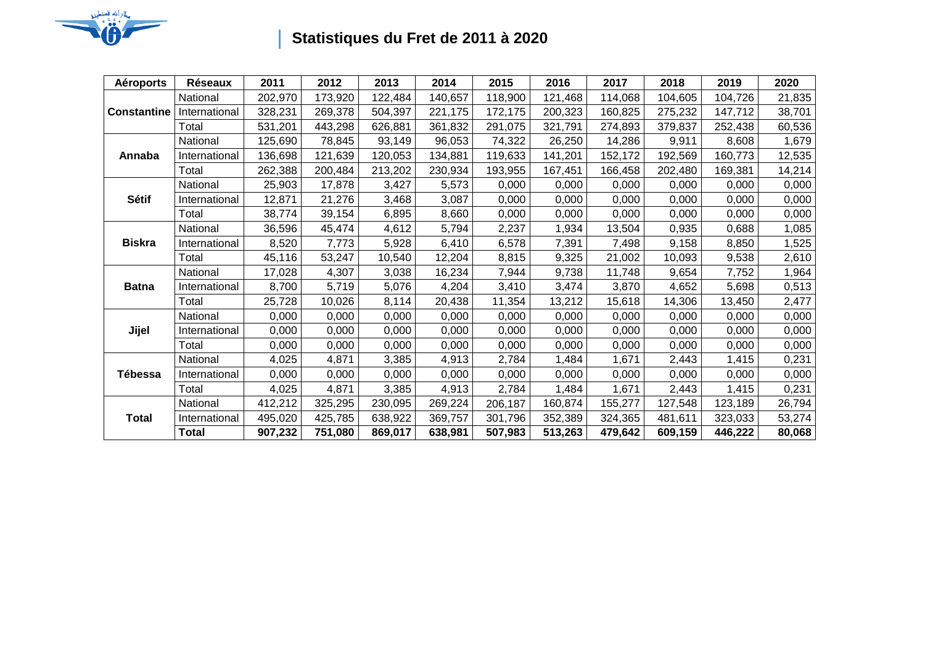

## **Statistiques du Fret de 2011 à 2020**

| <b>Aéroports</b>   | <b>Réseaux</b> | 2011    | 2012    | 2013    | 2014    | 2015    | 2016    | 2017    | 2018    | 2019    | 2020   |
|--------------------|----------------|---------|---------|---------|---------|---------|---------|---------|---------|---------|--------|
| <b>Constantine</b> | National       | 202,970 | 173,920 | 122,484 | 140,657 | 118,900 | 121,468 | 114,068 | 104,605 | 104,726 | 21,835 |
|                    | International  | 328,231 | 269,378 | 504,397 | 221,175 | 172,175 | 200,323 | 160,825 | 275,232 | 147,712 | 38,701 |
|                    | Total          | 531,201 | 443,298 | 626,881 | 361,832 | 291,075 | 321,791 | 274,893 | 379,837 | 252,438 | 60,536 |
| Annaba             | National       | 125,690 | 78,845  | 93,149  | 96,053  | 74,322  | 26,250  | 14,286  | 9,911   | 8,608   | 1,679  |
|                    | International  | 136,698 | 121,639 | 120,053 | 134,881 | 119,633 | 141,201 | 152,172 | 192,569 | 160,773 | 12,535 |
|                    | Total          | 262,388 | 200,484 | 213,202 | 230,934 | 193,955 | 167,451 | 166,458 | 202,480 | 169,381 | 14,214 |
| Sétif              | National       | 25,903  | 17,878  | 3,427   | 5,573   | 0,000   | 0,000   | 0,000   | 0,000   | 0,000   | 0,000  |
|                    | International  | 12,871  | 21,276  | 3,468   | 3,087   | 0,000   | 0,000   | 0,000   | 0,000   | 0,000   | 0,000  |
|                    | Total          | 38,774  | 39,154  | 6,895   | 8,660   | 0,000   | 0,000   | 0,000   | 0,000   | 0,000   | 0,000  |
| <b>Biskra</b>      | National       | 36,596  | 45,474  | 4,612   | 5,794   | 2,237   | 1,934   | 13,504  | 0,935   | 0,688   | 1,085  |
|                    | International  | 8,520   | 7,773   | 5,928   | 6,410   | 6,578   | 7,391   | 7,498   | 9,158   | 8,850   | 1,525  |
|                    | Total          | 45,116  | 53,247  | 10,540  | 12,204  | 8,815   | 9,325   | 21,002  | 10,093  | 9,538   | 2,610  |
| <b>Batna</b>       | National       | 17,028  | 4,307   | 3,038   | 16,234  | 7,944   | 9,738   | 11,748  | 9,654   | 7,752   | 1,964  |
|                    | International  | 8,700   | 5,719   | 5,076   | 4,204   | 3,410   | 3,474   | 3,870   | 4,652   | 5,698   | 0,513  |
|                    | Total          | 25,728  | 10,026  | 8,114   | 20,438  | 11,354  | 13,212  | 15,618  | 14,306  | 13,450  | 2,477  |
| Jijel              | National       | 0,000   | 0,000   | 0,000   | 0,000   | 0,000   | 0,000   | 0,000   | 0,000   | 0,000   | 0,000  |
|                    | International  | 0,000   | 0,000   | 0,000   | 0,000   | 0,000   | 0,000   | 0,000   | 0,000   | 0,000   | 0,000  |
|                    | Total          | 0,000   | 0,000   | 0,000   | 0,000   | 0,000   | 0,000   | 0,000   | 0,000   | 0,000   | 0,000  |
| Tébessa            | National       | 4,025   | 4,871   | 3,385   | 4,913   | 2,784   | 1,484   | 1,671   | 2,443   | 1,415   | 0,231  |
|                    | International  | 0,000   | 0,000   | 0,000   | 0,000   | 0,000   | 0,000   | 0,000   | 0,000   | 0,000   | 0,000  |
|                    | Total          | 4,025   | 4,871   | 3,385   | 4,913   | 2,784   | 1,484   | 1,671   | 2,443   | 1,415   | 0,231  |
| <b>Total</b>       | National       | 412,212 | 325,295 | 230,095 | 269,224 | 206,187 | 160,874 | 155,277 | 127,548 | 123,189 | 26,794 |
|                    | International  | 495,020 | 425,785 | 638,922 | 369,757 | 301,796 | 352,389 | 324,365 | 481,611 | 323,033 | 53,274 |
|                    | <b>Total</b>   | 907,232 | 751,080 | 869,017 | 638,981 | 507,983 | 513,263 | 479,642 | 609,159 | 446,222 | 80,068 |